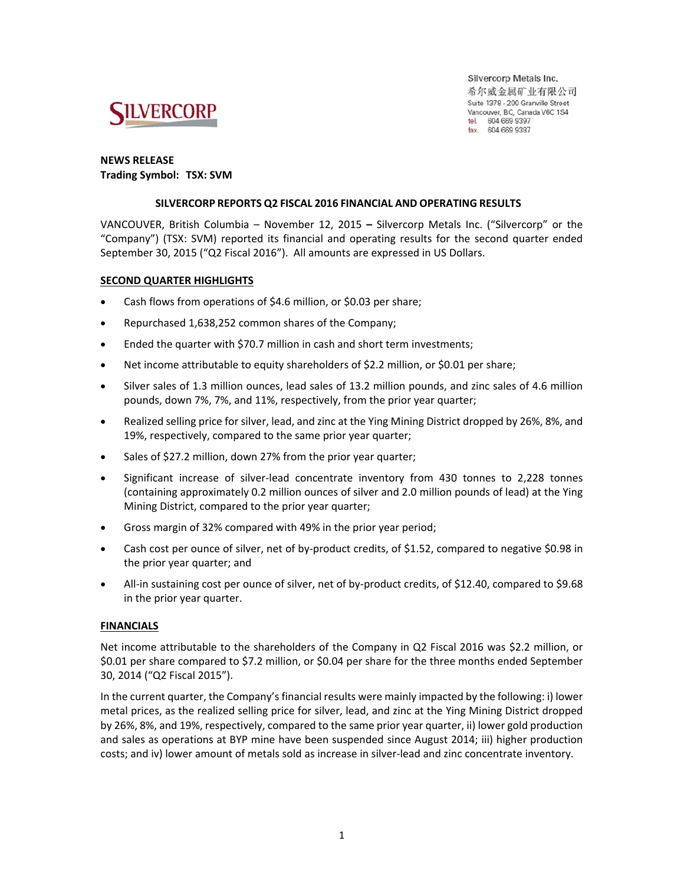

Silvercorp Metals Inc. 希尔威金属矿业有限公司 Suite 1378 - 200 Granville Street Vancouver, BC, Canada V6C 1S4 tel. 604 669 9397 fax. 604 669 9387

### **NEWS RELEASE Trading Symbol: TSX: SVM**

#### **SILVERCORP REPORTS Q2 FISCAL 2016 FINANCIAL AND OPERATING RESULTS**

VANCOUVER, British Columbia – November 12, 2015 **–**  Silvercorp Metals Inc. ("Silvercorp" or the "Company") (TSX: SVM) reported its financial and operating results for the second quarter ended September 30, 2015 ("Q2 Fiscal 2016"). All amounts are expressed in US Dollars.

#### **SECOND QUARTER HIGHLIGHTS**

- Cash flows from operations of \$4.6 million, or \$0.03 per share;
- Repurchased 1,638,252 common shares of the Company;
- Ended the quarter with \$70.7 million in cash and short term investments;
- Net income attributable to equity shareholders of \$2.2 million, or \$0.01 per share;
- Silver sales of 1.3 million ounces, lead sales of 13.2 million pounds, and zinc sales of 4.6 million pounds, down 7%, 7%, and 11%, respectively, from the prior year quarter;
- Realized selling price for silver, lead, and zinc at the Ying Mining District dropped by 26%, 8%, and 19%, respectively, compared to the same prior year quarter;
- Sales of \$27.2 million, down 27% from the prior year quarter;
- Significant increase of silver-lead concentrate inventory from 430 tonnes to 2,228 tonnes (containing approximately 0.2 million ounces of silver and 2.0 million pounds of lead) at the Ying Mining District, compared to the prior year quarter;
- Gross margin of 32% compared with 49% in the prior year period;
- Cash cost per ounce of silver, net of by-product credits, of \$1.52, compared to negative \$0.98 in the prior year quarter; and
- All-in sustaining cost per ounce of silver, net of by-product credits, of \$12.40, compared to \$9.68 in the prior year quarter.

### **FINANCIALS**

Net income attributable to the shareholders of the Company in Q2 Fiscal 2016 was \$2.2 million, or \$0.01 per share compared to \$7.2 million, or \$0.04 per share for the three months ended September 30, 2014 ("Q2 Fiscal 2015").

In the current quarter, the Company's financial results were mainly impacted by the following: i) lower metal prices, as the realized selling price for silver, lead, and zinc at the Ying Mining District dropped by 26%, 8%, and 19%, respectively, compared to the same prior year quarter, ii) lower gold production and sales as operations at BYP mine have been suspended since August 2014; iii) higher production costs; and iv) lower amount of metals sold as increase in silver‐lead and zinc concentrate inventory.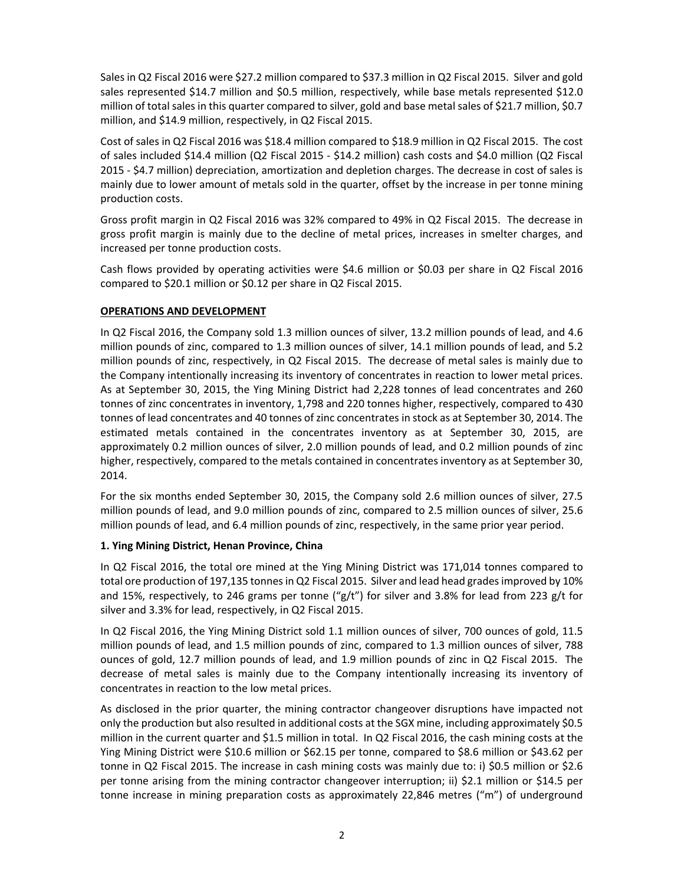Sales in Q2 Fiscal 2016 were \$27.2 million compared to \$37.3 million in Q2 Fiscal 2015. Silver and gold sales represented \$14.7 million and \$0.5 million, respectively, while base metals represented \$12.0 million of total sales in this quarter compared to silver, gold and base metal sales of \$21.7 million, \$0.7 million, and \$14.9 million, respectively, in Q2 Fiscal 2015.

Cost of sales in Q2 Fiscal 2016 was \$18.4 million compared to \$18.9 million in Q2 Fiscal 2015. The cost of sales included \$14.4 million (Q2 Fiscal 2015 ‐ \$14.2 million) cash costs and \$4.0 million (Q2 Fiscal 2015 ‐ \$4.7 million) depreciation, amortization and depletion charges. The decrease in cost of sales is mainly due to lower amount of metals sold in the quarter, offset by the increase in per tonne mining production costs.

Gross profit margin in Q2 Fiscal 2016 was 32% compared to 49% in Q2 Fiscal 2015. The decrease in gross profit margin is mainly due to the decline of metal prices, increases in smelter charges, and increased per tonne production costs.

Cash flows provided by operating activities were \$4.6 million or \$0.03 per share in Q2 Fiscal 2016 compared to \$20.1 million or \$0.12 per share in Q2 Fiscal 2015.

### **OPERATIONS AND DEVELOPMENT**

In Q2 Fiscal 2016, the Company sold 1.3 million ounces of silver, 13.2 million pounds of lead, and 4.6 million pounds of zinc, compared to 1.3 million ounces of silver, 14.1 million pounds of lead, and 5.2 million pounds of zinc, respectively, in Q2 Fiscal 2015. The decrease of metal sales is mainly due to the Company intentionally increasing its inventory of concentrates in reaction to lower metal prices. As at September 30, 2015, the Ying Mining District had 2,228 tonnes of lead concentrates and 260 tonnes of zinc concentrates in inventory, 1,798 and 220 tonnes higher, respectively, compared to 430 tonnes of lead concentrates and 40 tonnes of zinc concentrates in stock as at September 30, 2014. The estimated metals contained in the concentrates inventory as at September 30, 2015, are approximately 0.2 million ounces of silver, 2.0 million pounds of lead, and 0.2 million pounds of zinc higher, respectively, compared to the metals contained in concentrates inventory as at September 30, 2014.

For the six months ended September 30, 2015, the Company sold 2.6 million ounces of silver, 27.5 million pounds of lead, and 9.0 million pounds of zinc, compared to 2.5 million ounces of silver, 25.6 million pounds of lead, and 6.4 million pounds of zinc, respectively, in the same prior year period.

### **1. Ying Mining District, Henan Province, China**

In Q2 Fiscal 2016, the total ore mined at the Ying Mining District was 171,014 tonnes compared to total ore production of 197,135 tonnes in Q2 Fiscal 2015. Silver and lead head grades improved by 10% and 15%, respectively, to 246 grams per tonne  $\binom{n}{2}t'$  for silver and 3.8% for lead from 223 g/t for silver and 3.3% for lead, respectively, in Q2 Fiscal 2015.

In Q2 Fiscal 2016, the Ying Mining District sold 1.1 million ounces of silver, 700 ounces of gold, 11.5 million pounds of lead, and 1.5 million pounds of zinc, compared to 1.3 million ounces of silver, 788 ounces of gold, 12.7 million pounds of lead, and 1.9 million pounds of zinc in Q2 Fiscal 2015. The decrease of metal sales is mainly due to the Company intentionally increasing its inventory of concentrates in reaction to the low metal prices.

As disclosed in the prior quarter, the mining contractor changeover disruptions have impacted not only the production but also resulted in additional costs at the SGX mine, including approximately \$0.5 million in the current quarter and \$1.5 million in total. In Q2 Fiscal 2016, the cash mining costs at the Ying Mining District were \$10.6 million or \$62.15 per tonne, compared to \$8.6 million or \$43.62 per tonne in Q2 Fiscal 2015. The increase in cash mining costs was mainly due to: i) \$0.5 million or \$2.6 per tonne arising from the mining contractor changeover interruption; ii) \$2.1 million or \$14.5 per tonne increase in mining preparation costs as approximately 22,846 metres ("m") of underground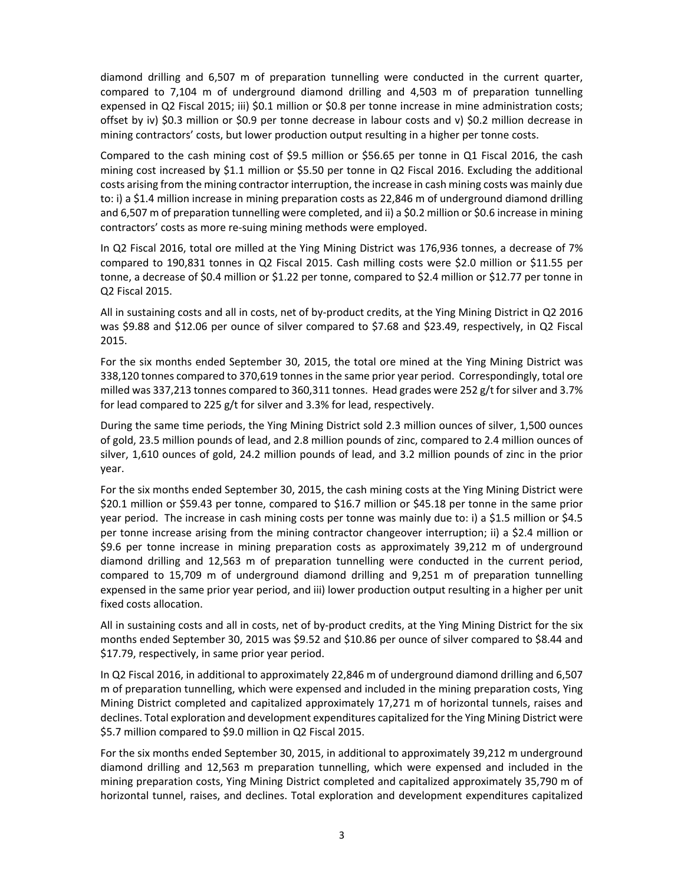diamond drilling and 6,507 m of preparation tunnelling were conducted in the current quarter, compared to 7,104 m of underground diamond drilling and 4,503 m of preparation tunnelling expensed in Q2 Fiscal 2015; iii) \$0.1 million or \$0.8 per tonne increase in mine administration costs; offset by iv) \$0.3 million or \$0.9 per tonne decrease in labour costs and v) \$0.2 million decrease in mining contractors' costs, but lower production output resulting in a higher per tonne costs.

Compared to the cash mining cost of \$9.5 million or \$56.65 per tonne in Q1 Fiscal 2016, the cash mining cost increased by \$1.1 million or \$5.50 per tonne in Q2 Fiscal 2016. Excluding the additional costs arising from the mining contractor interruption, the increase in cash mining costs was mainly due to: i) a \$1.4 million increase in mining preparation costs as 22,846 m of underground diamond drilling and 6,507 m of preparation tunnelling were completed, and ii) a \$0.2 million or \$0.6 increase in mining contractors' costs as more re‐suing mining methods were employed.

In Q2 Fiscal 2016, total ore milled at the Ying Mining District was 176,936 tonnes, a decrease of 7% compared to 190,831 tonnes in Q2 Fiscal 2015. Cash milling costs were \$2.0 million or \$11.55 per tonne, a decrease of \$0.4 million or \$1.22 per tonne, compared to \$2.4 million or \$12.77 per tonne in Q2 Fiscal 2015.

All in sustaining costs and all in costs, net of by‐product credits, at the Ying Mining District in Q2 2016 was \$9.88 and \$12.06 per ounce of silver compared to \$7.68 and \$23.49, respectively, in Q2 Fiscal 2015.

For the six months ended September 30, 2015, the total ore mined at the Ying Mining District was 338,120 tonnes compared to 370,619 tonnes in the same prior year period. Correspondingly, total ore milled was 337,213 tonnes compared to 360,311 tonnes. Head grades were 252 g/t for silver and 3.7% for lead compared to 225 g/t for silver and 3.3% for lead, respectively.

During the same time periods, the Ying Mining District sold 2.3 million ounces of silver, 1,500 ounces of gold, 23.5 million pounds of lead, and 2.8 million pounds of zinc, compared to 2.4 million ounces of silver, 1,610 ounces of gold, 24.2 million pounds of lead, and 3.2 million pounds of zinc in the prior year.

For the six months ended September 30, 2015, the cash mining costs at the Ying Mining District were \$20.1 million or \$59.43 per tonne, compared to \$16.7 million or \$45.18 per tonne in the same prior year period. The increase in cash mining costs per tonne was mainly due to: i) a \$1.5 million or \$4.5 per tonne increase arising from the mining contractor changeover interruption; ii) a \$2.4 million or \$9.6 per tonne increase in mining preparation costs as approximately 39,212 m of underground diamond drilling and 12,563 m of preparation tunnelling were conducted in the current period, compared to 15,709 m of underground diamond drilling and 9,251 m of preparation tunnelling expensed in the same prior year period, and iii) lower production output resulting in a higher per unit fixed costs allocation.

All in sustaining costs and all in costs, net of by‐product credits, at the Ying Mining District for the six months ended September 30, 2015 was \$9.52 and \$10.86 per ounce of silver compared to \$8.44 and \$17.79, respectively, in same prior year period.

In Q2 Fiscal 2016, in additional to approximately 22,846 m of underground diamond drilling and 6,507 m of preparation tunnelling, which were expensed and included in the mining preparation costs, Ying Mining District completed and capitalized approximately 17,271 m of horizontal tunnels, raises and declines. Total exploration and development expenditures capitalized for the Ying Mining District were \$5.7 million compared to \$9.0 million in Q2 Fiscal 2015.

For the six months ended September 30, 2015, in additional to approximately 39,212 m underground diamond drilling and 12,563 m preparation tunnelling, which were expensed and included in the mining preparation costs, Ying Mining District completed and capitalized approximately 35,790 m of horizontal tunnel, raises, and declines. Total exploration and development expenditures capitalized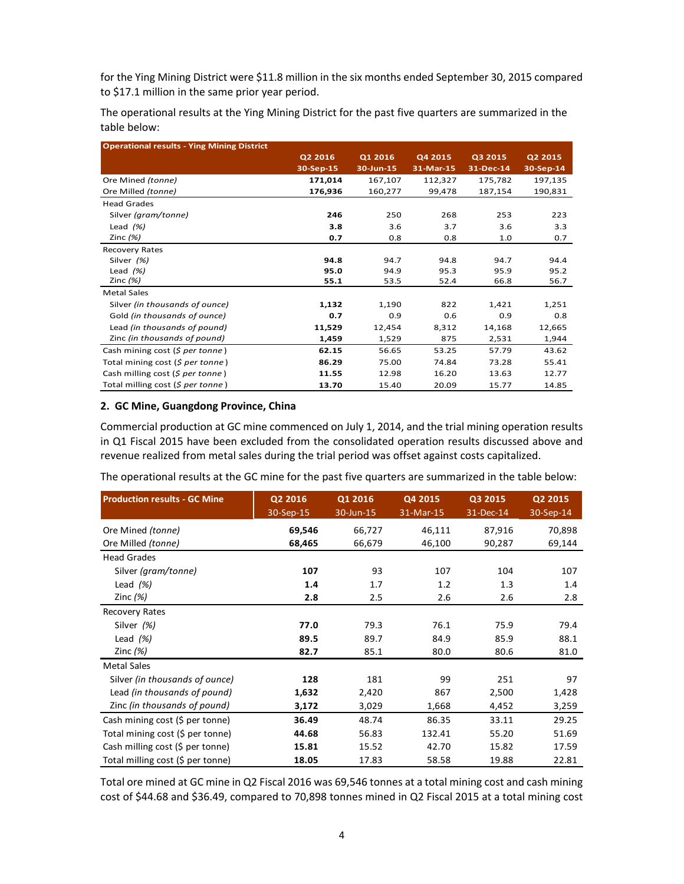for the Ying Mining District were \$11.8 million in the six months ended September 30, 2015 compared to \$17.1 million in the same prior year period.

The operational results at the Ying Mining District for the past five quarters are summarized in the table below:

| <b>Operational results - Ying Mining District</b> |           |           |           |           |           |
|---------------------------------------------------|-----------|-----------|-----------|-----------|-----------|
|                                                   | Q2 2016   | Q1 2016   | Q4 2015   | Q3 2015   | Q2 2015   |
|                                                   | 30-Sep-15 | 30-Jun-15 | 31-Mar-15 | 31-Dec-14 | 30-Sep-14 |
| Ore Mined (tonne)                                 | 171,014   | 167,107   | 112,327   | 175,782   | 197,135   |
| Ore Milled (tonne)                                | 176,936   | 160,277   | 99,478    | 187,154   | 190,831   |
| <b>Head Grades</b>                                |           |           |           |           |           |
| Silver (gram/tonne)                               | 246       | 250       | 268       | 253       | 223       |
| Lead $(%)$                                        | 3.8       | 3.6       | 3.7       | 3.6       | 3.3       |
| Zinc $(%)$                                        | 0.7       | 0.8       | 0.8       | 1.0       | 0.7       |
| Recovery Rates                                    |           |           |           |           |           |
| Silver (%)                                        | 94.8      | 94.7      | 94.8      | 94.7      | 94.4      |
| Lead $(%)$                                        | 95.0      | 94.9      | 95.3      | 95.9      | 95.2      |
| Zinc $(%)$                                        | 55.1      | 53.5      | 52.4      | 66.8      | 56.7      |
| <b>Metal Sales</b>                                |           |           |           |           |           |
| Silver (in thousands of ounce)                    | 1,132     | 1,190     | 822       | 1,421     | 1,251     |
| Gold (in thousands of ounce)                      | 0.7       | 0.9       | 0.6       | 0.9       | 0.8       |
| Lead (in thousands of pound)                      | 11,529    | 12,454    | 8,312     | 14,168    | 12,665    |
| Zinc (in thousands of pound)                      | 1,459     | 1,529     | 875       | 2,531     | 1,944     |
| Cash mining cost (\$ per tonne)                   | 62.15     | 56.65     | 53.25     | 57.79     | 43.62     |
| Total mining cost (\$ per tonne)                  | 86.29     | 75.00     | 74.84     | 73.28     | 55.41     |
| Cash milling cost (\$ per tonne)                  | 11.55     | 12.98     | 16.20     | 13.63     | 12.77     |
| Total milling cost (\$ per tonne)                 | 13.70     | 15.40     | 20.09     | 15.77     | 14.85     |

#### **2. GC Mine, Guangdong Province, China**

Commercial production at GC mine commenced on July 1, 2014, and the trial mining operation results in Q1 Fiscal 2015 have been excluded from the consolidated operation results discussed above and revenue realized from metal sales during the trial period was offset against costs capitalized.

The operational results at the GC mine for the past five quarters are summarized in the table below:

| <b>Production results - GC Mine</b> | Q2 2016<br>30-Sep-15 | Q1 2016<br>30-Jun-15 | Q4 2015<br>31-Mar-15 | Q3 2015<br>31-Dec-14 | Q2 2015<br>30-Sep-14 |
|-------------------------------------|----------------------|----------------------|----------------------|----------------------|----------------------|
| Ore Mined (tonne)                   | 69,546               | 66,727               | 46,111               | 87,916               | 70,898               |
| Ore Milled (tonne)                  | 68,465               | 66,679               | 46,100               | 90,287               | 69,144               |
| <b>Head Grades</b>                  |                      |                      |                      |                      |                      |
| Silver (gram/tonne)                 | 107                  | 93                   | 107                  | 104                  | 107                  |
| Lead $(%)$                          | 1.4                  | 1.7                  | 1.2                  | 1.3                  | 1.4                  |
| Zinc $(%)$                          | 2.8                  | 2.5                  | 2.6                  | 2.6                  | 2.8                  |
| Recovery Rates                      |                      |                      |                      |                      |                      |
| Silver (%)                          | 77.0                 | 79.3                 | 76.1                 | 75.9                 | 79.4                 |
| Lead $(%)$                          | 89.5                 | 89.7                 | 84.9                 | 85.9                 | 88.1                 |
| Zinc $(%)$                          | 82.7                 | 85.1                 | 80.0                 | 80.6                 | 81.0                 |
| <b>Metal Sales</b>                  |                      |                      |                      |                      |                      |
| Silver (in thousands of ounce)      | 128                  | 181                  | 99                   | 251                  | 97                   |
| Lead (in thousands of pound)        | 1,632                | 2,420                | 867                  | 2,500                | 1,428                |
| Zinc (in thousands of pound)        | 3,172                | 3,029                | 1,668                | 4,452                | 3,259                |
| Cash mining cost (\$ per tonne)     | 36.49                | 48.74                | 86.35                | 33.11                | 29.25                |
| Total mining cost (\$ per tonne)    | 44.68                | 56.83                | 132.41               | 55.20                | 51.69                |
| Cash milling cost (\$ per tonne)    | 15.81                | 15.52                | 42.70                | 15.82                | 17.59                |
| Total milling cost (\$ per tonne)   | 18.05                | 17.83                | 58.58                | 19.88                | 22.81                |

Total ore mined at GC mine in Q2 Fiscal 2016 was 69,546 tonnes at a total mining cost and cash mining cost of \$44.68 and \$36.49, compared to 70,898 tonnes mined in Q2 Fiscal 2015 at a total mining cost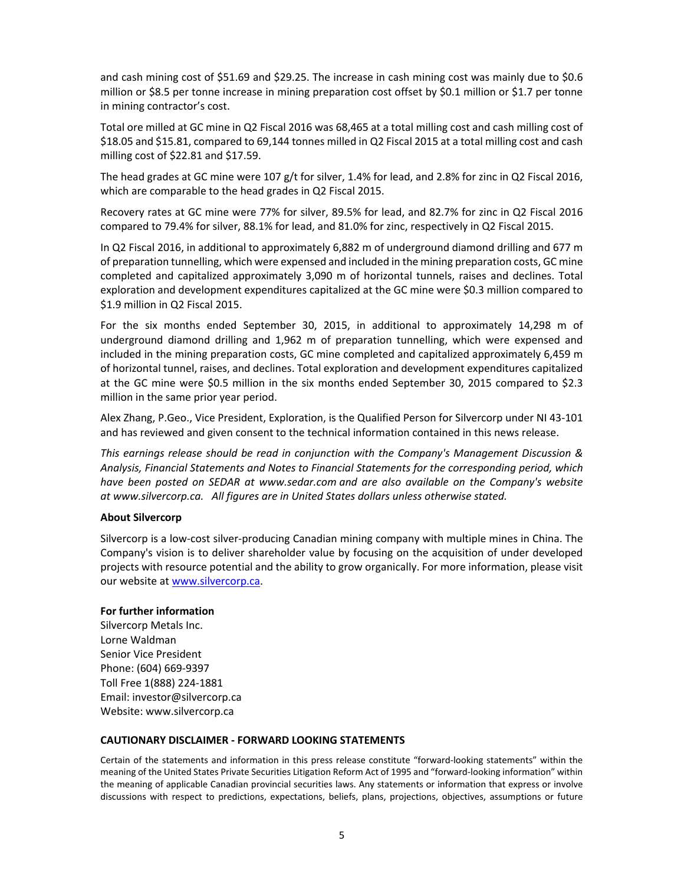and cash mining cost of \$51.69 and \$29.25. The increase in cash mining cost was mainly due to \$0.6 million or \$8.5 per tonne increase in mining preparation cost offset by \$0.1 million or \$1.7 per tonne in mining contractor's cost.

Total ore milled at GC mine in Q2 Fiscal 2016 was 68,465 at a total milling cost and cash milling cost of \$18.05 and \$15.81, compared to 69,144 tonnes milled in Q2 Fiscal 2015 at a total milling cost and cash milling cost of \$22.81 and \$17.59.

The head grades at GC mine were 107 g/t for silver, 1.4% for lead, and 2.8% for zinc in Q2 Fiscal 2016, which are comparable to the head grades in Q2 Fiscal 2015.

Recovery rates at GC mine were 77% for silver, 89.5% for lead, and 82.7% for zinc in Q2 Fiscal 2016 compared to 79.4% for silver, 88.1% for lead, and 81.0% for zinc, respectively in Q2 Fiscal 2015.

In Q2 Fiscal 2016, in additional to approximately 6,882 m of underground diamond drilling and 677 m of preparation tunnelling, which were expensed and included in the mining preparation costs, GC mine completed and capitalized approximately 3,090 m of horizontal tunnels, raises and declines. Total exploration and development expenditures capitalized at the GC mine were \$0.3 million compared to \$1.9 million in Q2 Fiscal 2015.

For the six months ended September 30, 2015, in additional to approximately 14,298 m of underground diamond drilling and 1,962 m of preparation tunnelling, which were expensed and included in the mining preparation costs, GC mine completed and capitalized approximately 6,459 m of horizontal tunnel, raises, and declines. Total exploration and development expenditures capitalized at the GC mine were \$0.5 million in the six months ended September 30, 2015 compared to \$2.3 million in the same prior year period.

Alex Zhang, P.Geo., Vice President, Exploration, is the Qualified Person for Silvercorp under NI 43‐101 and has reviewed and given consent to the technical information contained in this news release.

*This earnings release should be read in conjunction with the Company's Management Discussion & Analysis, Financial Statements and Notes to Financial Statements for the corresponding period, which have been posted on SEDAR at www.sedar.com and are also available on the Company's website at www.silvercorp.ca. All figures are in United States dollars unless otherwise stated.* 

### **About Silvercorp**

Silvercorp is a low‐cost silver‐producing Canadian mining company with multiple mines in China. The Company's vision is to deliver shareholder value by focusing on the acquisition of under developed projects with resource potential and the ability to grow organically. For more information, please visit our website at www.silvercorp.ca.

#### **For further information**

Silvercorp Metals Inc. Lorne Waldman Senior Vice President Phone: (604) 669‐9397 Toll Free 1(888) 224‐1881 Email: investor@silvercorp.ca Website: www.silvercorp.ca

#### **CAUTIONARY DISCLAIMER ‐ FORWARD LOOKING STATEMENTS**

Certain of the statements and information in this press release constitute "forward-looking statements" within the meaning of the United States Private Securities Litigation Reform Act of 1995 and "forward‐looking information" within the meaning of applicable Canadian provincial securities laws. Any statements or information that express or involve discussions with respect to predictions, expectations, beliefs, plans, projections, objectives, assumptions or future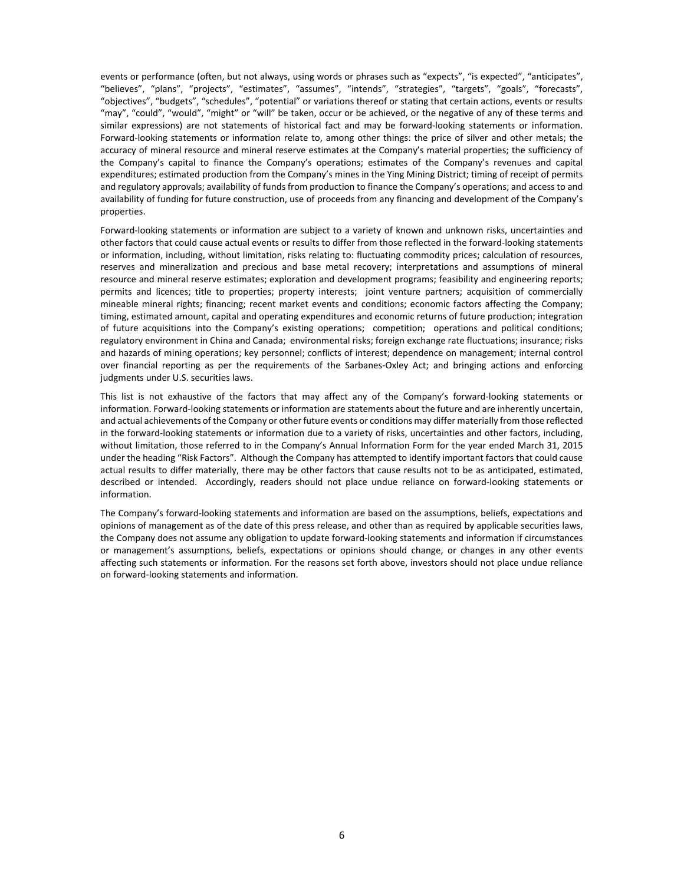events or performance (often, but not always, using words or phrases such as "expects", "is expected", "anticipates", "believes", "plans", "projects", "estimates", "assumes", "intends", "strategies", "targets", "goals", "forecasts", "objectives", "budgets", "schedules", "potential" or variations thereof or stating that certain actions, events or results "may", "could", "would", "might" or "will" be taken, occur or be achieved, or the negative of any of these terms and similar expressions) are not statements of historical fact and may be forward-looking statements or information. Forward-looking statements or information relate to, among other things: the price of silver and other metals; the accuracy of mineral resource and mineral reserve estimates at the Company's material properties; the sufficiency of the Company's capital to finance the Company's operations; estimates of the Company's revenues and capital expenditures; estimated production from the Company's mines in the Ying Mining District; timing of receipt of permits and regulatory approvals; availability of funds from production to finance the Company's operations; and access to and availability of funding for future construction, use of proceeds from any financing and development of the Company's properties.

Forward‐looking statements or information are subject to a variety of known and unknown risks, uncertainties and other factors that could cause actual events or results to differ from those reflected in the forward‐looking statements or information, including, without limitation, risks relating to: fluctuating commodity prices; calculation of resources, reserves and mineralization and precious and base metal recovery; interpretations and assumptions of mineral resource and mineral reserve estimates; exploration and development programs; feasibility and engineering reports; permits and licences; title to properties; property interests; joint venture partners; acquisition of commercially mineable mineral rights; financing; recent market events and conditions; economic factors affecting the Company; timing, estimated amount, capital and operating expenditures and economic returns of future production; integration of future acquisitions into the Company's existing operations; competition; operations and political conditions; regulatory environment in China and Canada; environmental risks; foreign exchange rate fluctuations; insurance; risks and hazards of mining operations; key personnel; conflicts of interest; dependence on management; internal control over financial reporting as per the requirements of the Sarbanes‐Oxley Act; and bringing actions and enforcing judgments under U.S. securities laws.

This list is not exhaustive of the factors that may affect any of the Company's forward-looking statements or information. Forward‐looking statements or information are statements about the future and are inherently uncertain, and actual achievements of the Company or other future events or conditions may differ materially from those reflected in the forward‐looking statements or information due to a variety of risks, uncertainties and other factors, including, without limitation, those referred to in the Company's Annual Information Form for the year ended March 31, 2015 under the heading "Risk Factors". Although the Company has attempted to identify important factors that could cause actual results to differ materially, there may be other factors that cause results not to be as anticipated, estimated, described or intended. Accordingly, readers should not place undue reliance on forward-looking statements or information.

The Company's forward‐looking statements and information are based on the assumptions, beliefs, expectations and opinions of management as of the date of this press release, and other than as required by applicable securities laws, the Company does not assume any obligation to update forward‐looking statements and information if circumstances or management's assumptions, beliefs, expectations or opinions should change, or changes in any other events affecting such statements or information. For the reasons set forth above, investors should not place undue reliance on forward‐looking statements and information.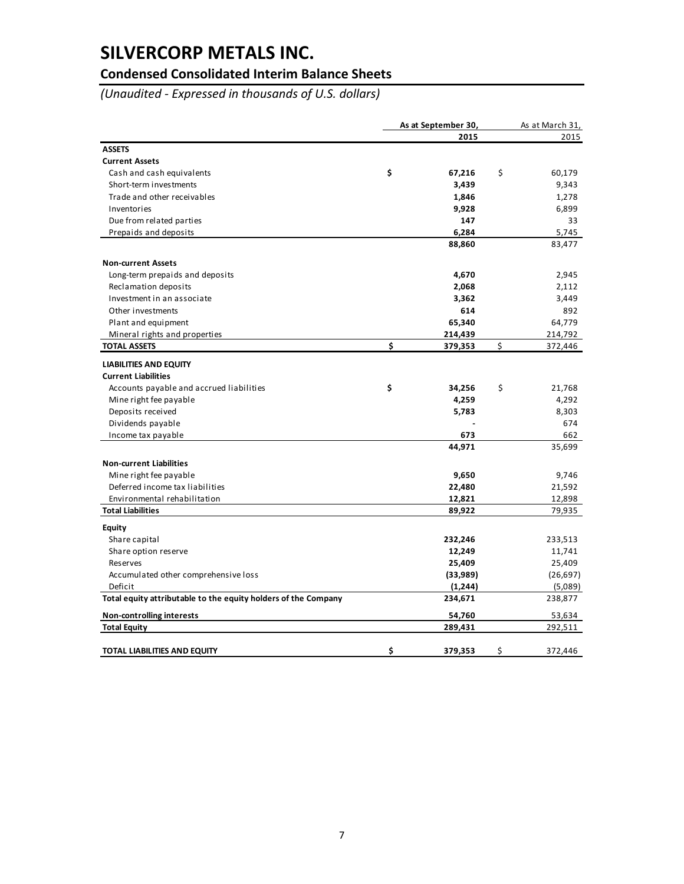## **Condensed Consolidated Interim Balance Sheets**

*(Unaudited ‐ Expressed in thousands of U.S. dollars)*

|                                                                | As at September 30, |          | As at March 31, |  |
|----------------------------------------------------------------|---------------------|----------|-----------------|--|
|                                                                |                     | 2015     | 2015            |  |
| <b>ASSETS</b>                                                  |                     |          |                 |  |
| <b>Current Assets</b>                                          |                     |          |                 |  |
| Cash and cash equivalents                                      | \$                  | 67,216   | \$<br>60,179    |  |
| Short-term investments                                         |                     | 3,439    | 9,343           |  |
| Trade and other receivables                                    |                     | 1,846    | 1,278           |  |
| Inventories                                                    |                     | 9,928    | 6,899           |  |
| Due from related parties                                       |                     | 147      | 33              |  |
| Prepaids and deposits                                          |                     | 6,284    | 5,745           |  |
|                                                                |                     | 88,860   | 83,477          |  |
| <b>Non-current Assets</b>                                      |                     |          |                 |  |
| Long-term prepaids and deposits                                |                     | 4,670    | 2,945           |  |
| Reclamation deposits                                           |                     | 2,068    | 2,112           |  |
| Investment in an associate                                     |                     | 3,362    | 3,449           |  |
| Other investments                                              |                     | 614      | 892             |  |
| Plant and equipment                                            |                     | 65,340   | 64,779          |  |
| Mineral rights and properties                                  |                     | 214,439  | 214,792         |  |
| <b>TOTAL ASSETS</b>                                            | \$                  | 379,353  | \$<br>372,446   |  |
| <b>LIABILITIES AND EQUITY</b>                                  |                     |          |                 |  |
| <b>Current Liabilities</b>                                     |                     |          |                 |  |
| Accounts payable and accrued liabilities                       | \$                  | 34,256   | \$<br>21,768    |  |
| Mine right fee payable                                         |                     | 4,259    | 4,292           |  |
| Deposits received                                              |                     | 5,783    | 8,303           |  |
| Dividends payable                                              |                     |          | 674             |  |
| Income tax payable                                             |                     | 673      | 662             |  |
|                                                                |                     | 44,971   | 35,699          |  |
| <b>Non-current Liabilities</b>                                 |                     |          |                 |  |
| Mine right fee payable                                         |                     | 9,650    | 9,746           |  |
| Deferred income tax liabilities                                |                     | 22,480   | 21,592          |  |
| Environmental rehabilitation                                   |                     | 12,821   | 12,898          |  |
| <b>Total Liabilities</b>                                       |                     | 89,922   | 79,935          |  |
| <b>Equity</b>                                                  |                     |          |                 |  |
| Share capital                                                  |                     | 232,246  | 233,513         |  |
| Share option reserve                                           |                     | 12,249   | 11,741          |  |
| <b>Reserves</b>                                                |                     | 25,409   | 25,409          |  |
| Accumulated other comprehensive loss                           |                     | (33,989) | (26, 697)       |  |
| Deficit                                                        |                     | (1, 244) | (5,089)         |  |
| Total equity attributable to the equity holders of the Company |                     | 234,671  | 238,877         |  |
| Non-controlling interests                                      |                     | 54,760   | 53,634          |  |
| <b>Total Equity</b>                                            |                     | 289,431  | 292,511         |  |
|                                                                |                     |          |                 |  |
| TOTAL LIABILITIES AND EQUITY                                   | \$                  | 379,353  | \$<br>372,446   |  |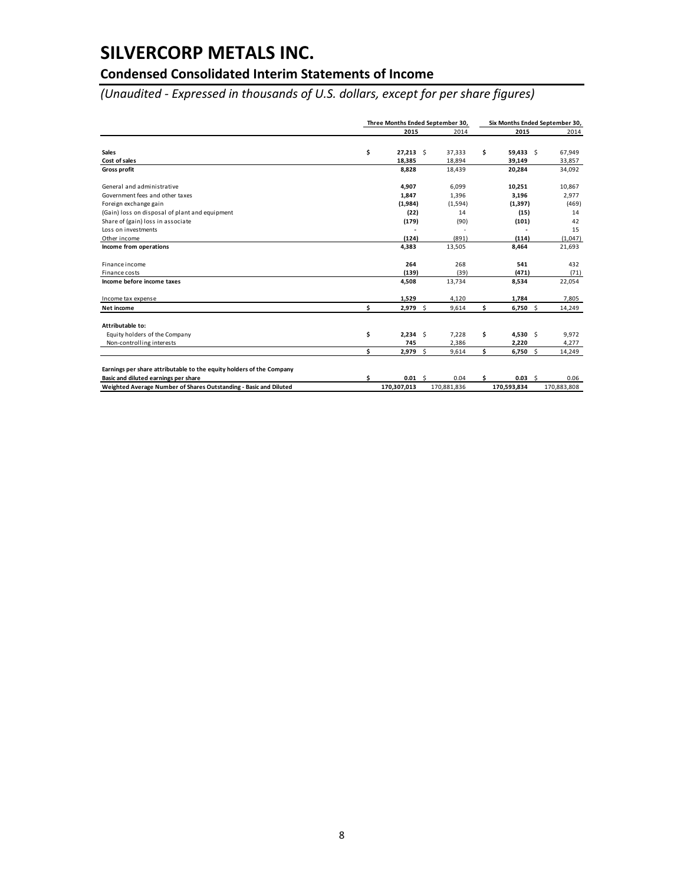## **Condensed Consolidated Interim Statements of Income**

*(Unaudited ‐ Expressed in thousands of U.S. dollars, except for per share figures)*

|                                                                      |    | Three Months Ended September 30, |  |                  | Six Months Ended September 30, |                   |  |                  |
|----------------------------------------------------------------------|----|----------------------------------|--|------------------|--------------------------------|-------------------|--|------------------|
|                                                                      |    | 2015                             |  | 2014             |                                | 2015              |  | 2014             |
| <b>Sales</b>                                                         | \$ | $27,213$ \$                      |  | 37,333           | \$                             | $59,433$ \$       |  | 67,949           |
| Cost of sales<br><b>Gross profit</b>                                 |    | 18,385<br>8,828                  |  | 18,894<br>18,439 |                                | 39,149<br>20,284  |  | 33,857<br>34,092 |
|                                                                      |    |                                  |  |                  |                                |                   |  |                  |
| General and administrative                                           |    | 4,907                            |  | 6,099            |                                | 10,251            |  | 10,867           |
| Government fees and other taxes                                      |    | 1,847                            |  | 1,396            |                                | 3,196             |  | 2,977            |
| Foreign exchange gain                                                |    | (1,984)                          |  | (1,594)          |                                | (1, 397)          |  | (469)            |
| (Gain) loss on disposal of plant and equipment                       |    | (22)                             |  | 14               |                                | (15)              |  | 14               |
| Share of (gain) loss in associate                                    |    | (179)                            |  | (90)             |                                | (101)             |  | 42               |
| Loss on investments                                                  |    |                                  |  | ٠                |                                |                   |  | 15               |
| Other income                                                         |    | (124)                            |  | (891)            |                                | (114)             |  | (1,047)          |
| Income from operations                                               |    | 4,383                            |  | 13,505           |                                | 8,464             |  | 21,693           |
| Finance income                                                       |    | 264                              |  | 268              |                                | 541               |  | 432              |
| Finance costs                                                        |    | (139)                            |  | (39)             |                                | (471)             |  | (71)             |
| Income before income taxes                                           |    | 4,508                            |  | 13,734           |                                | 8,534             |  | 22,054           |
| Income tax expense                                                   |    | 1,529                            |  | 4,120            |                                | 1,784             |  | 7,805            |
| Net income                                                           | Ś. | $2,979$ \$                       |  | 9,614            | \$                             | $6,750$ \$        |  | 14,249           |
| Attributable to:                                                     |    |                                  |  |                  |                                |                   |  |                  |
| Equity holders of the Company                                        | \$ | $2,234$ \$                       |  | 7,228            | \$                             | $4,530$ \$        |  | 9,972            |
| Non-controlling interests                                            |    | 745                              |  | 2,386            |                                | 2,220             |  | 4,277            |
|                                                                      | Ś  | $2,979$ \$                       |  | 9,614            | Ś.                             | $6,750$ \$        |  | 14,249           |
| Earnings per share attributable to the equity holders of the Company |    |                                  |  |                  |                                |                   |  |                  |
| Basic and diluted earnings per share                                 | Ś  | $0.01 \quad$                     |  | 0.04             | Ś                              | 0.03 <sub>5</sub> |  | 0.06             |
| Weighted Average Number of Shares Outstanding - Basic and Diluted    |    | 170,307,013                      |  | 170,881,836      |                                | 170.593.834       |  | 170.883.808      |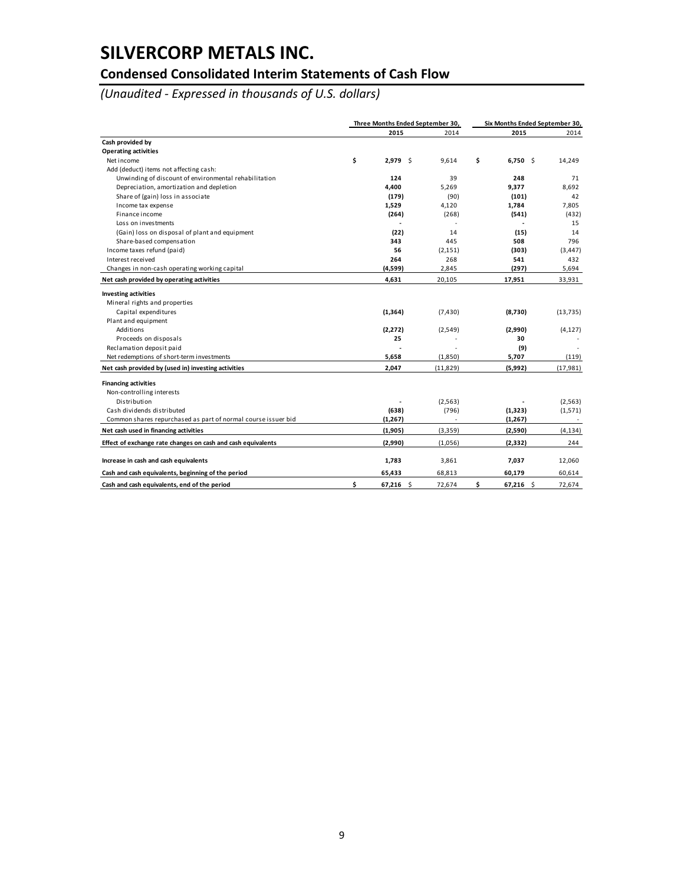## **Condensed Consolidated Interim Statements of Cash Flow**

*(Unaudited ‐ Expressed in thousands of U.S. dollars)*

|                                                               |    | Three Months Ended September 30, |           | Six Months Ended September 30, |           |
|---------------------------------------------------------------|----|----------------------------------|-----------|--------------------------------|-----------|
|                                                               |    | 2015                             | 2014      | 2015                           | 2014      |
| Cash provided by                                              |    |                                  |           |                                |           |
| <b>Operating activities</b>                                   |    |                                  |           |                                |           |
| Net income                                                    | \$ | $2,979$ \$                       | 9.614     | \$<br>$6,750$ \$               | 14,249    |
| Add (deduct) items not affecting cash:                        |    |                                  |           |                                |           |
| Unwinding of discount of environmental rehabilitation         |    | 124                              | 39        | 248                            | 71        |
| Depreciation, amortization and depletion                      |    | 4,400                            | 5,269     | 9,377                          | 8.692     |
| Share of (gain) loss in associate                             |    | (179)                            | (90)      | (101)                          | 42        |
| Income tax expense                                            |    | 1,529                            | 4,120     | 1,784                          | 7,805     |
| Finance income                                                |    | (264)                            | (268)     | (541)                          | (432)     |
| Loss on investments                                           |    |                                  |           |                                | 15        |
| (Gain) loss on disposal of plant and equipment                |    | (22)                             | 14        | (15)                           | 14        |
| Share-based compensation                                      |    | 343                              | 445       | 508                            | 796       |
| Income taxes refund (paid)                                    |    | 56                               | (2, 151)  | (303)                          | (3, 447)  |
| Interest received                                             |    | 264                              | 268       | 541                            | 432       |
| Changes in non-cash operating working capital                 |    | (4,599)                          | 2,845     | (297)                          | 5,694     |
| Net cash provided by operating activities                     |    | 4,631                            | 20,105    | 17,951                         | 33,931    |
| <b>Investing activities</b>                                   |    |                                  |           |                                |           |
| Mineral rights and properties                                 |    |                                  |           |                                |           |
| Capital expenditures                                          |    | (1, 364)                         | (7, 430)  | (8,730)                        | (13, 735) |
| Plant and equipment                                           |    |                                  |           |                                |           |
| Additions                                                     |    | (2, 272)                         | (2, 549)  | (2,990)                        | (4, 127)  |
| Proceeds on disposals                                         |    | 25                               |           | 30                             |           |
| Reclamation deposit paid                                      |    |                                  |           | (9)                            |           |
| Net redemptions of short-term investments                     |    | 5,658                            | (1,850)   | 5,707                          | (119)     |
| Net cash provided by (used in) investing activities           |    | 2,047                            | (11, 829) | (5,992)                        | (17, 981) |
| <b>Financing activities</b>                                   |    |                                  |           |                                |           |
| Non-controlling interests                                     |    |                                  |           |                                |           |
| Distribution                                                  |    |                                  | (2, 563)  |                                | (2, 563)  |
| Cash dividends distributed                                    |    | (638)                            | (796)     | (1, 323)                       | (1,571)   |
| Common shares repurchased as part of normal course issuer bid |    | (1, 267)                         |           | (1, 267)                       |           |
| Net cash used in financing activities                         |    | (1,905)                          | (3, 359)  | (2,590)                        | (4, 134)  |
| Effect of exchange rate changes on cash and cash equivalents  |    | (2,990)                          | (1,056)   | (2, 332)                       | 244       |
| Increase in cash and cash equivalents                         |    | 1,783                            | 3,861     | 7,037                          | 12,060    |
| Cash and cash equivalents, beginning of the period            |    | 65,433                           | 68,813    | 60,179                         | 60,614    |
| Cash and cash equivalents, end of the period                  | Ś  | $67,216$ \$                      | 72.674    | \$<br>$67,216$ \$              | 72,674    |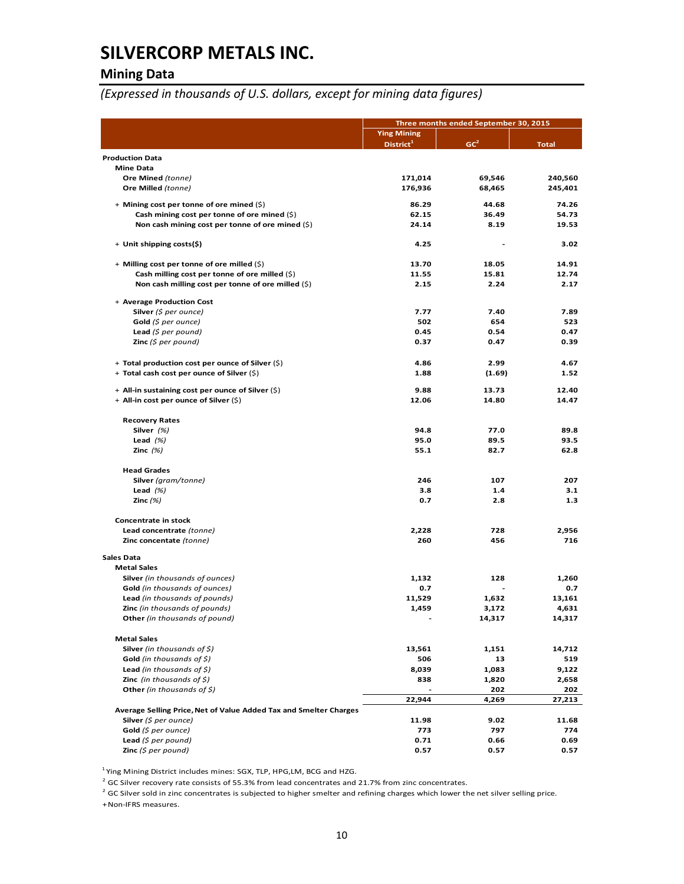### **Mining Data**

*(Expressed in thousands of U.S. dollars, except for mining data figures)*

|                                                                   | Three months ended September 30, 2015 |                 |               |  |
|-------------------------------------------------------------------|---------------------------------------|-----------------|---------------|--|
|                                                                   | <b>Ying Mining</b>                    |                 |               |  |
|                                                                   | $Distribt^1$                          | GC <sup>2</sup> | <b>Total</b>  |  |
| <b>Production Data</b>                                            |                                       |                 |               |  |
| <b>Mine Data</b>                                                  |                                       |                 |               |  |
| Ore Mined (tonne)                                                 | 171,014                               | 69,546          | 240,560       |  |
| Ore Milled (tonne)                                                | 176,936                               | 68,465          | 245,401       |  |
|                                                                   |                                       |                 |               |  |
| + Mining cost per tonne of ore mined (\$)                         | 86.29                                 | 44.68           | 74.26         |  |
| Cash mining cost per tonne of ore mined (\$)                      | 62.15                                 | 36.49           | 54.73         |  |
| Non cash mining cost per tonne of ore mined (\$)                  | 24.14                                 | 8.19            | 19.53         |  |
| + Unit shipping costs(\$)                                         | 4.25                                  |                 | 3.02          |  |
| + Milling cost per tonne of ore milled (\$)                       | 13.70                                 | 18.05           | 14.91         |  |
| Cash milling cost per tonne of ore milled $(\xi)$                 | 11.55                                 | 15.81           | 12.74         |  |
| Non cash milling cost per tonne of ore milled (\$)                | 2.15                                  | 2.24            | 2.17          |  |
|                                                                   |                                       |                 |               |  |
| + Average Production Cost                                         |                                       |                 |               |  |
| <b>Silver</b> (\$ per ounce)                                      | 7.77                                  | 7.40            | 7.89          |  |
| Gold $(\xi$ per ounce)                                            | 502                                   | 654             | 523           |  |
| Lead $(5$ per pound)                                              | 0.45                                  | 0.54            | 0.47          |  |
| <b>Zinc</b> (\$ per pound)                                        | 0.37                                  | 0.47            | 0.39          |  |
|                                                                   |                                       |                 |               |  |
| + Total production cost per ounce of Silver (\$)                  | 4.86                                  | 2.99            | 4.67          |  |
| + Total cash cost per ounce of Silver (\$)                        | 1.88                                  | (1.69)          | 1.52          |  |
| + All-in sustaining cost per ounce of Silver (\$)                 | 9.88                                  | 13.73           | 12.40         |  |
| + All-in cost per ounce of Silver (\$)                            | 12.06                                 | 14.80           | 14.47         |  |
|                                                                   |                                       |                 |               |  |
| <b>Recovery Rates</b>                                             |                                       |                 |               |  |
| Silver $(%)$                                                      | 94.8                                  | 77.0            | 89.8          |  |
| Lead $(%)$                                                        | 95.0                                  | 89.5            | 93.5          |  |
| Zinc $(%)$                                                        | 55.1                                  | 82.7            | 62.8          |  |
| <b>Head Grades</b>                                                |                                       |                 |               |  |
| Silver (gram/tonne)                                               | 246                                   | 107             | 207           |  |
| Lead $(%)$                                                        | 3.8                                   | 1.4             | 3.1           |  |
| Zinc $(%)$                                                        | 0.7                                   | 2.8             | 1.3           |  |
| Concentrate in stock                                              |                                       |                 |               |  |
| Lead concentrate (tonne)                                          | 2,228                                 | 728             | 2,956         |  |
| Zinc concentate (tonne)                                           | 260                                   | 456             | 716           |  |
|                                                                   |                                       |                 |               |  |
| Sales Data                                                        |                                       |                 |               |  |
| <b>Metal Sales</b>                                                |                                       |                 |               |  |
| <b>Silver</b> (in thousands of ounces)                            | 1,132                                 | 128             | 1,260         |  |
| Gold (in thousands of ounces)                                     | 0.7                                   |                 | 0.7           |  |
| Lead (in thousands of pounds)                                     | 11,529                                | 1,632           | 13,161        |  |
| Zinc (in thousands of pounds)                                     | 1,459                                 | 3,172           | 4,631         |  |
| Other (in thousands of pound)                                     |                                       | 14,317          | 14,317        |  |
| <b>Metal Sales</b>                                                |                                       |                 |               |  |
| <b>Silver</b> (in thousands of $\zeta$ )                          | 13,561                                | 1,151           | 14,712        |  |
| <b>Gold</b> (in thousands of $\zeta$ )                            | 506                                   | 13              | 519           |  |
| <b>Lead</b> (in thousands of $\zeta$ )                            | 8,039                                 | 1,083           | 9,122         |  |
| <b>Zinc</b> (in thousands of $\zeta$ )                            | 838                                   | 1,820           | 2,658         |  |
| Other (in thousands of \$)                                        |                                       | 202             |               |  |
|                                                                   | 22,944                                | 4,269           | 202<br>27,213 |  |
| Average Selling Price, Net of Value Added Tax and Smelter Charges |                                       |                 |               |  |
| Silver $(5$ per ounce)                                            | 11.98                                 | 9.02            | 11.68         |  |
| Gold $(5$ per ounce)                                              | 773                                   | 797             | 774           |  |
| Lead $(5$ per pound)                                              | 0.71                                  | 0.66            | 0.69          |  |
| <b>Zinc</b> (\$ per pound)                                        | 0.57                                  | 0.57            | 0.57          |  |

 $1$  Ying Mining District includes mines: SGX, TLP, HPG, LM, BCG and HZG.

 $^2$  GC Silver recovery rate consists of 55.3% from lead concentrates and 21.7% from zinc concentrates.

 $^2$  GC Silver sold in zinc concentrates is subjected to higher smelter and refining charges which lower the net silver selling price.

+Non‐IFRS measures.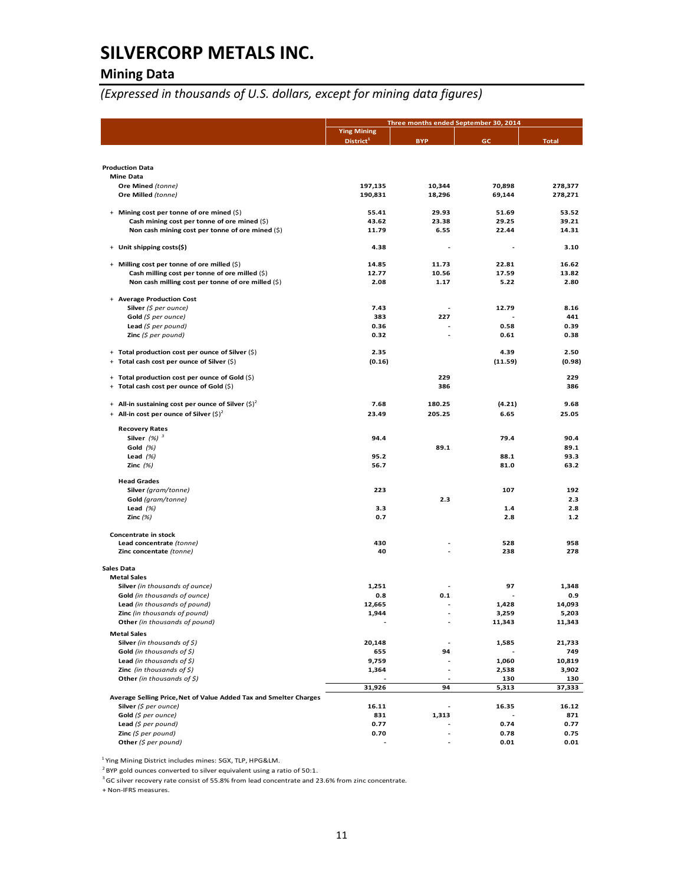## **Mining Data**

*(Expressed in thousands of U.S. dollars, except for mining data figures)*

|                                                                   |                                             | Three months ended September 30, 2014 |              |               |
|-------------------------------------------------------------------|---------------------------------------------|---------------------------------------|--------------|---------------|
|                                                                   | <b>Ying Mining</b><br>District <sup>1</sup> | <b>BYP</b>                            | GC           | <b>Total</b>  |
|                                                                   |                                             |                                       |              |               |
| <b>Production Data</b>                                            |                                             |                                       |              |               |
| <b>Mine Data</b>                                                  |                                             |                                       |              |               |
| Ore Mined (tonne)                                                 | 197,135                                     | 10,344                                | 70,898       | 278,377       |
| Ore Milled (tonne)                                                | 190,831                                     | 18,296                                | 69,144       | 278,271       |
| + Mining cost per tonne of ore mined (\$)                         | 55.41                                       | 29.93                                 | 51.69        | 53.52         |
| Cash mining cost per tonne of ore mined (\$)                      | 43.62                                       | 23.38                                 | 29.25        | 39.21         |
| Non cash mining cost per tonne of ore mined (\$)                  | 11.79                                       | 6.55                                  | 22.44        | 14.31         |
|                                                                   |                                             |                                       |              |               |
| + Unit shipping costs(\$)                                         | 4.38                                        |                                       |              | 3.10          |
| + Milling cost per tonne of ore milled (\$)                       | 14.85                                       | 11.73                                 | 22.81        | 16.62         |
| Cash milling cost per tonne of ore milled (\$)                    | 12.77                                       | 10.56                                 | 17.59        | 13.82         |
| Non cash milling cost per tonne of ore milled (\$)                | 2.08                                        | 1.17                                  | 5.22         | 2.80          |
|                                                                   |                                             |                                       |              |               |
| + Average Production Cost                                         |                                             |                                       |              |               |
| Silver (\$ per ounce)                                             | 7.43                                        |                                       | 12.79        | 8.16          |
| Gold (\$ per ounce)                                               | 383                                         | 227                                   |              | 441           |
| Lead $(5$ per pound)                                              | 0.36                                        |                                       | 0.58         | 0.39          |
| <b>Zinc</b> (\$ per pound)                                        | 0.32                                        |                                       | 0.61         | 0.38          |
| + Total production cost per ounce of Silver (\$)                  | 2.35                                        |                                       | 4.39         | 2.50          |
| + Total cash cost per ounce of Silver (\$)                        | (0.16)                                      |                                       | (11.59)      | (0.98)        |
|                                                                   |                                             |                                       |              |               |
| + Total production cost per ounce of Gold (\$)                    |                                             | 229<br>386                            |              | 229<br>386    |
| Total cash cost per ounce of Gold (\$)<br>÷                       |                                             |                                       |              |               |
| + All-in sustaining cost per ounce of Silver $(\xi)^2$            | 7.68                                        | 180.25                                | (4.21)       | 9.68          |
| + All-in cost per ounce of Silver $(\xi)^2$                       | 23.49                                       | 205.25                                | 6.65         | 25.05         |
|                                                                   |                                             |                                       |              |               |
| <b>Recovery Rates</b>                                             |                                             |                                       |              |               |
| Silver $(%)$ <sup>3</sup>                                         | 94.4                                        |                                       | 79.4         | 90.4          |
| Gold (%)                                                          |                                             | 89.1                                  |              | 89.1          |
| Lead $(%)$                                                        | 95.2                                        |                                       | 88.1         | 93.3          |
| Zinc $(%)$                                                        | 56.7                                        |                                       | 81.0         | 63.2          |
| <b>Head Grades</b>                                                |                                             |                                       |              |               |
| Silver (gram/tonne)                                               | 223                                         |                                       | 107          | 192           |
| Gold (gram/tonne)                                                 |                                             | 2.3                                   |              | 2.3           |
| Lead $(%)$                                                        | 3.3                                         |                                       | 1.4          | 2.8           |
| Zinc $(%)$                                                        | 0.7                                         |                                       | 2.8          | $1.2$         |
| Concentrate in stock                                              |                                             |                                       |              |               |
| Lead concentrate (tonne)<br>Zinc concentate (tonne)               | 430<br>40                                   |                                       | 528<br>238   | 958<br>278    |
|                                                                   |                                             |                                       |              |               |
| <b>Sales Data</b>                                                 |                                             |                                       |              |               |
| <b>Metal Sales</b>                                                |                                             |                                       |              |               |
| Silver (in thousands of ounce)                                    | 1,251                                       |                                       | 97           | 1,348         |
| Gold (in thousands of ounce)                                      | 0.8                                         | 0.1                                   |              | 0.9           |
| Lead (in thousands of pound)                                      | 12,665                                      |                                       | 1,428        | 14,093        |
| Zinc (in thousands of pound)                                      | 1,944                                       |                                       | 3,259        | 5,203         |
| Other (in thousands of pound)                                     |                                             |                                       | 11,343       | 11,343        |
| <b>Metal Sales</b>                                                |                                             |                                       |              |               |
| <b>Silver</b> (in thousands of $\zeta$ )                          | 20,148                                      |                                       | 1,585        | 21,733        |
| Gold (in thousands of $\zeta$ )                                   | 655                                         | 94                                    |              | 749           |
| Lead (in thousands of $\zeta$ )                                   | 9,759                                       |                                       | 1,060        | 10,819        |
| <b>Zinc</b> (in thousands of $\sharp$ )                           | 1,364                                       | $\overline{a}$                        | 2,538        | 3,902         |
| Other (in thousands of $\zeta$ )                                  | 31,926                                      | 94                                    | 130<br>5,313 | 130<br>37,333 |
| Average Selling Price, Net of Value Added Tax and Smelter Charges |                                             |                                       |              |               |
| Silver (\$ per ounce)                                             | 16.11                                       | $\overline{a}$                        | 16.35        | 16.12         |
| Gold (\$ per ounce)                                               | 831                                         | 1,313                                 |              | 871           |
| Lead $(5$ per pound)                                              | 0.77                                        |                                       | 0.74         | 0.77          |
| Zinc $(5$ per pound)                                              | 0.70                                        |                                       | 0.78         | 0.75          |
| Other ( $$per$ pound)                                             |                                             |                                       | 0.01         | 0.01          |

<sup>1</sup> Ying Mining District includes mines: SGX, TLP, HPG&LM.

 $2$  BYP gold ounces converted to silver equivalent using a ratio of 50:1.

<sup>3</sup> GC silver recovery rate consist of 55.8% from lead concentrate and 23.6% from zinc concentrate.

+ Non‐IFRS measures.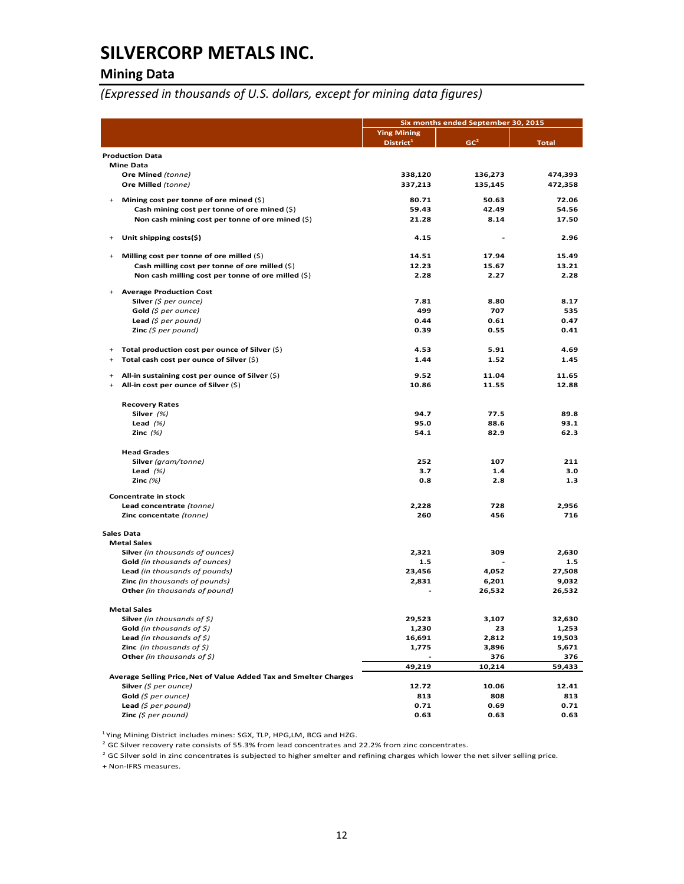### **Mining Data**

*(Expressed in thousands of U.S. dollars, except for mining data figures)*

|                        |                                                                                            | Six months ended September 30, 2015 |                 |              |  |
|------------------------|--------------------------------------------------------------------------------------------|-------------------------------------|-----------------|--------------|--|
|                        |                                                                                            | <b>Ying Mining</b>                  |                 |              |  |
|                        |                                                                                            | District <sup>1</sup>               | GC <sup>2</sup> | <b>Total</b> |  |
|                        | <b>Production Data</b>                                                                     |                                     |                 |              |  |
|                        | <b>Mine Data</b>                                                                           |                                     |                 |              |  |
|                        | Ore Mined (tonne)                                                                          | 338,120                             | 136,273         | 474,393      |  |
|                        | Ore Milled (tonne)                                                                         | 337,213                             | 135,145         | 472,358      |  |
| $\ddot{}$              | Mining cost per tonne of ore mined $(\hat{\varsigma})$                                     | 80.71                               | 50.63           | 72.06        |  |
|                        | Cash mining cost per tonne of ore mined $(\xi)$                                            | 59.43                               | 42.49           | 54.56        |  |
|                        | Non cash mining cost per tonne of ore mined $(\xi)$                                        | 21.28                               | 8.14            | 17.50        |  |
|                        |                                                                                            |                                     |                 |              |  |
| $\ddot{}$              | Unit shipping costs(\$)                                                                    | 4.15                                | ۰               | 2.96         |  |
| $+$                    | Milling cost per tonne of ore milled $(\xi)$                                               | 14.51                               | 17.94           | 15.49        |  |
|                        | Cash milling cost per tonne of ore milled (\$)                                             | 12.23                               | 15.67           | 13.21        |  |
|                        | Non cash milling cost per tonne of ore milled $(\xi)$                                      | 2.28                                | 2.27            | 2.28         |  |
| $\ddot{}$              | <b>Average Production Cost</b>                                                             |                                     |                 |              |  |
|                        | Silver (\$ per ounce)                                                                      | 7.81                                | 8.80            | 8.17         |  |
|                        | Gold $(\xi$ per ounce)                                                                     | 499                                 | 707             | 535          |  |
|                        | <b>Lead</b> (\$ per pound)                                                                 | 0.44                                | 0.61            | 0.47         |  |
|                        | <b>Zinc</b> ( $$$ per pound)                                                               | 0.39                                | 0.55            | 0.41         |  |
|                        |                                                                                            |                                     |                 |              |  |
| $\ddot{}$              | Total production cost per ounce of Silver $(\xi)$                                          | 4.53                                | 5.91            | 4.69         |  |
| +                      | Total cash cost per ounce of Silver (\$)                                                   | 1.44                                | 1.52            | 1.45         |  |
|                        |                                                                                            | 9.52                                | 11.04           | 11.65        |  |
| $\ddot{}$<br>$\ddot{}$ | All-in sustaining cost per ounce of Silver $(\xi)$<br>All-in cost per ounce of Silver (\$) | 10.86                               | 11.55           | 12.88        |  |
|                        |                                                                                            |                                     |                 |              |  |
|                        | <b>Recovery Rates</b>                                                                      |                                     |                 |              |  |
|                        | Silver $(%)$                                                                               | 94.7                                | 77.5            | 89.8         |  |
|                        | Lead $(%)$                                                                                 | 95.0                                | 88.6            | 93.1         |  |
|                        | Zinc $(%)$                                                                                 | 54.1                                | 82.9            | 62.3         |  |
|                        | <b>Head Grades</b>                                                                         |                                     |                 |              |  |
|                        | Silver (gram/tonne)                                                                        | 252                                 | 107             | 211          |  |
|                        | Lead $(%)$                                                                                 | 3.7                                 | 1.4             | 3.0          |  |
|                        | Zinc $(%)$                                                                                 | 0.8                                 | 2.8             | 1.3          |  |
|                        |                                                                                            |                                     |                 |              |  |
|                        | Concentrate in stock<br>Lead concentrate (tonne)                                           | 2,228                               | 728             | 2,956        |  |
|                        | Zinc concentate (tonne)                                                                    | 260                                 | 456             | 716          |  |
|                        |                                                                                            |                                     |                 |              |  |
|                        | <b>Sales Data</b><br><b>Metal Sales</b>                                                    |                                     |                 |              |  |
|                        | Silver (in thousands of ounces)                                                            | 2,321                               | 309             | 2.630        |  |
|                        | Gold (in thousands of ounces)                                                              | 1.5                                 |                 | 1.5          |  |
|                        | Lead (in thousands of pounds)                                                              | 23,456                              | 4,052           | 27,508       |  |
|                        | Zinc (in thousands of pounds)                                                              | 2,831                               | 6,201           | 9,032        |  |
|                        | Other (in thousands of pound)                                                              |                                     | 26,532          | 26,532       |  |
|                        | <b>Metal Sales</b>                                                                         |                                     |                 |              |  |
|                        | Silver (in thousands of $\zeta$ )                                                          | 29,523                              | 3,107           | 32,630       |  |
|                        | <b>Gold</b> (in thousands of \$)                                                           | 1,230                               | 23              | 1,253        |  |
|                        | Lead (in thousands of $\zeta$ )                                                            | 16,691                              | 2,812           | 19,503       |  |
|                        | <b>Zinc</b> (in thousands of $\zeta$ )                                                     | 1,775                               | 3,896           | 5,671        |  |
|                        | Other (in thousands of \$)                                                                 |                                     | 376             | 376          |  |
|                        |                                                                                            | 49,219                              | 10,214          | 59,433       |  |
|                        | Average Selling Price, Net of Value Added Tax and Smelter Charges                          |                                     |                 |              |  |
|                        | Silver (\$ per ounce)                                                                      | 12.72                               | 10.06           | 12.41        |  |
|                        | Gold (\$ per ounce)                                                                        | 813                                 | 808             | 813          |  |
|                        | Lead (\$ per pound)<br>Zinc $(5$ per pound)                                                | 0.71                                | 0.69            | 0.71         |  |
|                        |                                                                                            | 0.63                                | 0.63            | 0.63         |  |

<sup>1</sup> Ying Mining District includes mines: SGX, TLP, HPG,LM, BCG and HZG.

 $^2$  GC Silver recovery rate consists of 55.3% from lead concentrates and 22.2% from zinc concentrates.

 $^2$  GC Silver sold in zinc concentrates is subjected to higher smelter and refining charges which lower the net silver selling price.

+ Non‐IFRS measures.